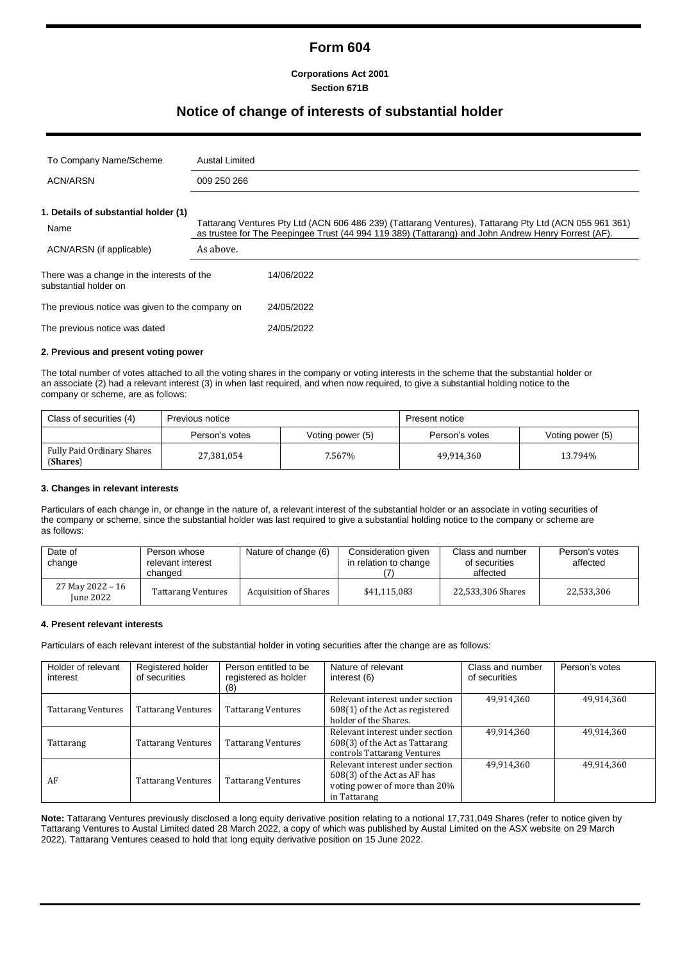# **Form 604**

**Corporations Act 2001 Section 671B**

## **Notice of change of interests of substantial holder**

| To Company Name/Scheme                                              | <b>Austal Limited</b>                                                                                            |                                                                                                        |
|---------------------------------------------------------------------|------------------------------------------------------------------------------------------------------------------|--------------------------------------------------------------------------------------------------------|
| <b>ACN/ARSN</b>                                                     | 009 250 266                                                                                                      |                                                                                                        |
| 1. Details of substantial holder (1)<br>Name                        |                                                                                                                  | Tattarang Ventures Pty Ltd (ACN 606 486 239) (Tattarang Ventures), Tattarang Pty Ltd (ACN 055 961 361) |
| ACN/ARSN (if applicable)                                            | as trustee for The Peepingee Trust (44 994 119 389) (Tattarang) and John Andrew Henry Forrest (AF).<br>As above. |                                                                                                        |
| There was a change in the interests of the<br>substantial holder on |                                                                                                                  | 14/06/2022                                                                                             |
| The previous notice was given to the company on                     |                                                                                                                  | 24/05/2022                                                                                             |
| The previous notice was dated                                       |                                                                                                                  | 24/05/2022                                                                                             |

#### **2. Previous and present voting power**

The total number of votes attached to all the voting shares in the company or voting interests in the scheme that the substantial holder or an associate (2) had a relevant interest (3) in when last required, and when now required, to give a substantial holding notice to the company or scheme, are as follows:

| Class of securities (4)                | Previous notice |                  | Present notice |                  |
|----------------------------------------|-----------------|------------------|----------------|------------------|
|                                        | Person's votes  | Voting power (5) | Person's votes | Voting power (5) |
| Fully Paid Ordinary Shares<br>(Shares) | 27,381,054      | 7.567%           | 49.914.360     | 13.794%          |

## **3. Changes in relevant interests**

Particulars of each change in, or change in the nature of, a relevant interest of the substantial holder or an associate in voting securities of the company or scheme, since the substantial holder was last required to give a substantial holding notice to the company or scheme are as follows:

| Date of<br>change                    | Person whose<br>relevant interest<br>changed | Nature of change (6)         | Consideration given<br>in relation to change | Class and number<br>of securities<br>affected | Person's votes<br>affected |
|--------------------------------------|----------------------------------------------|------------------------------|----------------------------------------------|-----------------------------------------------|----------------------------|
| 27 May 2022 - 16<br><b>Iune 2022</b> | <b>Tattarang Ventures</b>                    | <b>Acquisition of Shares</b> | \$41.115.083                                 | 22,533,306 Shares                             | 22,533,306                 |

#### **4. Present relevant interests**

Particulars of each relevant interest of the substantial holder in voting securities after the change are as follows:

| Holder of relevant<br>interest | Registered holder<br>of securities | Person entitled to be<br>registered as holder<br>(8) | Nature of relevant<br>interest (6)                                                                              | Class and number<br>of securities | Person's votes |
|--------------------------------|------------------------------------|------------------------------------------------------|-----------------------------------------------------------------------------------------------------------------|-----------------------------------|----------------|
| <b>Tattarang Ventures</b>      | <b>Tattarang Ventures</b>          | <b>Tattarang Ventures</b>                            | Relevant interest under section<br>608(1) of the Act as registered<br>holder of the Shares.                     | 49,914,360                        | 49,914,360     |
| Tattarang                      | <b>Tattarang Ventures</b>          | <b>Tattarang Ventures</b>                            | Relevant interest under section<br>608(3) of the Act as Tattarang<br>controls Tattarang Ventures                | 49,914,360                        | 49,914,360     |
| AF                             | <b>Tattarang Ventures</b>          | <b>Tattarang Ventures</b>                            | Relevant interest under section<br>608(3) of the Act as AF has<br>voting power of more than 20%<br>in Tattarang | 49,914,360                        | 49,914,360     |

**Note:** Tattarang Ventures previously disclosed a long equity derivative position relating to a notional 17,731,049 Shares (refer to notice given by Tattarang Ventures to Austal Limited dated 28 March 2022, a copy of which was published by Austal Limited on the ASX website on 29 March 2022). Tattarang Ventures ceased to hold that long equity derivative position on 15 June 2022.